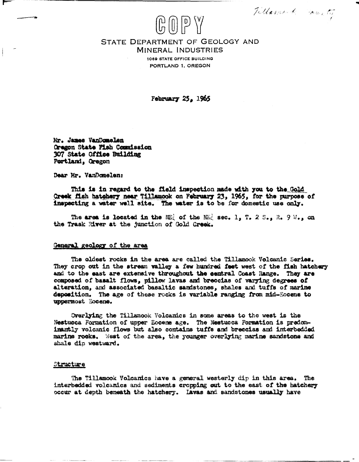Tillament county

## STATE DEPARTMENT OF GEOLOGY AND **MINERAL INDUSTRIES**

 $\left(\begin{smallmatrix} 1 & 0 \ 0 & 1 \end{smallmatrix}\right)$   $\left(\begin{smallmatrix} 1 & 0 \ 0 & 1 \end{smallmatrix}\right)$   $\left(\begin{smallmatrix} 1 & 0 \ 0 & 1 \end{smallmatrix}\right)$ 

1069 STATE OFFICE BUILDING PORTLAND 1. OREGON

February 25, 1965

Mr. James VanDomelen Oragon State Fish Commission 307 State Office Building Portland, Oregon

Dear Mr. VanDomelen:

This is in regard to the field inspection made with you to the Gold Creek fish hatchery near Tillamook on February 23, 1965, for the purpose of inspecting a water well site. The water is to be for domestic use only.

The area is located in the ME of the ME sec. 1, T. 2 S., R. 9 W., on the Trask River at the junction of Gold Creek.

## General geology of the area

The oldest rocks in the area are called the Tillamook Volcanic Series. They crop out in the stream valley a few hundred feet west of the fish hatchery and to the east are extensive throughout the central Coast Range. They are composed of basalt flows, pillow lavas and breccias of varying degrees of alteration, and associated basaltic sandstones, shales and tuffs of marine deposition. The age of these rocks is variable ranging from mid-Eocene to uppermost Eocene.

Overlying the Tillamook Volcanics in some areas to the west is the Nestucca Formation of upper Eocene age. The Nestucca Formation is predominantly volcanic flows but also contains tuffs and breccias and interbedded marine rocks. West of the area, the younger overlying marine sandstone and shale dip westward.

## Structure

The Tillamook Volcanics have a general westerly dip in this area. The interbedded volcanics and sediments cropping out to the east of the hatchery occur at depth beneath the hatchery. Lavas and sandstones usually have